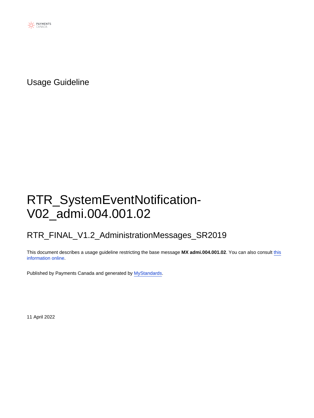

Usage Guideline

# RTR\_SystemEventNotification-V02\_admi.004.001.02

### RTR\_FINAL\_V1.2\_AdministrationMessages\_SR2019

This document describes a usage guideline restricting the base message **MX admi.004.001.02**. You can also consult [this](https://www2.swift.com/mystandards/#/mp/mx/_L7ETDp8bEeyX2-3WgfEAkg/version/3/_L7E6AZ8bEeyX2-3WgfEAkg) [information online](https://www2.swift.com/mystandards/#/mp/mx/_L7ETDp8bEeyX2-3WgfEAkg/version/3/_L7E6AZ8bEeyX2-3WgfEAkg).

Published by Payments Canada and generated by [MyStandards](http://www.swift.com/mystandards).

11 April 2022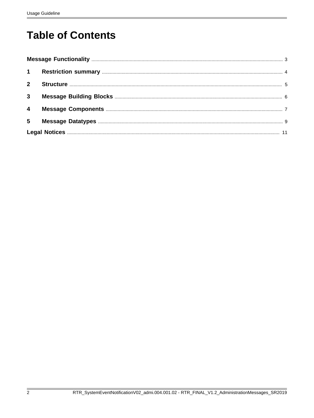# **Table of Contents**

| $2^{\circ}$             |  |
|-------------------------|--|
| $\mathbf{3}$            |  |
| $\overline{\mathbf{4}}$ |  |
| $5\overline{)}$         |  |
|                         |  |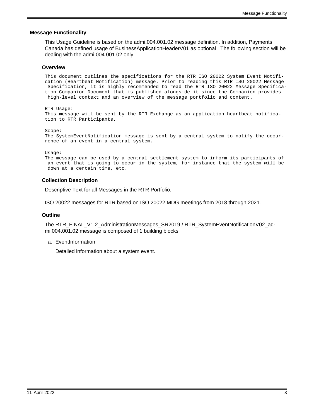#### <span id="page-2-0"></span> **Message Functionality**

This Usage Guideline is based on the admi.004.001.02 message definition. In addition, Payments Canada has defined usage of BusinessApplicationHeaderV01 as optional . The following section will be dealing with the admi.004.001.02 only.

#### **Overview**

This document outlines the specifications for the RTR ISO 20022 System Event Notification (Heartbeat Notification) message. Prior to reading this RTR ISO 20022 Message Specification, it is highly recommended to read the RTR ISO 20022 Message Specification Companion Document that is published alongside it since the Companion provides high-level context and an overview of the message portfolio and content.

RTR Usage: This message will be sent by the RTR Exchange as an application heartbeat notification to RTR Participants.

Scope:

The SystemEventNotification message is sent by a central system to notify the occurrence of an event in a central system.

Usage:

The message can be used by a central settlement system to inform its participants of an event that is going to occur in the system, for instance that the system will be down at a certain time, etc.

#### **Collection Description**

Descriptive Text for all Messages in the RTR Portfolio:

ISO 20022 messages for RTR based on ISO 20022 MDG meetings from 2018 through 2021.

#### **Outline**

The RTR\_FINAL\_V1.2\_AdministrationMessages\_SR2019 / RTR\_SystemEventNotificationV02\_admi.004.001.02 message is composed of 1 building blocks

a. EventInformation

Detailed information about a system event.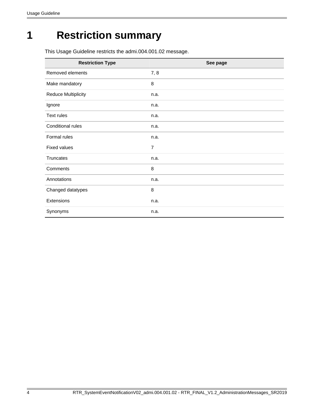# <span id="page-3-0"></span>**1 Restriction summary**

This Usage Guideline restricts the admi.004.001.02 message.

| <b>Restriction Type</b>    | See page       |
|----------------------------|----------------|
| Removed elements           | 7,8            |
| Make mandatory             | 8              |
| <b>Reduce Multiplicity</b> | n.a.           |
| Ignore                     | n.a.           |
| Text rules                 | n.a.           |
| Conditional rules          | n.a.           |
| Formal rules               | n.a.           |
| <b>Fixed values</b>        | $\overline{7}$ |
| <b>Truncates</b>           | n.a.           |
| Comments                   | 8              |
| Annotations                | n.a.           |
| Changed datatypes          | 8              |
| Extensions                 | n.a.           |
| Synonyms                   | n.a.           |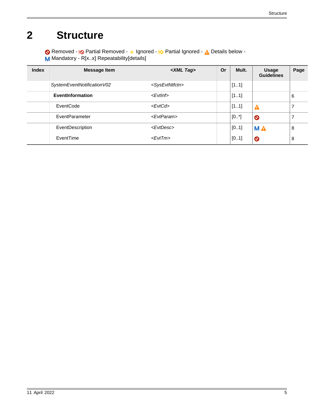# <span id="page-4-0"></span>**2 Structure**

Removed - <sub>!</sub>© Partial Removed - 
o Ignored - <u>I</u> $\Diamond$  Partial Ignored - 
<u>A</u> Details below -M Mandatory - R[x..x] Repeatability[details]

| <b>Index</b> | <b>Message Item</b>        | <xml tag=""></xml>            | <b>Or</b> | Mult. | <b>Usage</b><br><b>Guidelines</b> | Page |
|--------------|----------------------------|-------------------------------|-----------|-------|-----------------------------------|------|
|              | SystemEventNotificationV02 | <sysevtntfctn></sysevtntfctn> |           | [11]  |                                   |      |
|              | EventInformation           | <evtinf></evtinf>             |           | [11]  |                                   | 6    |
|              | EventCode                  | <evtcd></evtcd>               |           | [11]  | Δ                                 |      |
|              | EventParameter             | <evtparam></evtparam>         |           | [0.1] | $\bullet$                         |      |
|              | EventDescription           | <evtdesc></evtdesc>           |           | [01]  | <b>MA</b>                         | 8    |
|              | EventTime                  | $<$ Evt $T$ m>                |           | [01]  | $\bullet$                         | 8    |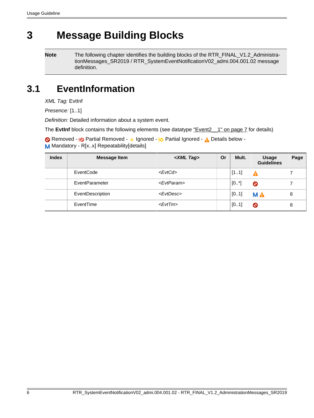# <span id="page-5-0"></span>**3 Message Building Blocks**

**Note** The following chapter identifies the building blocks of the RTR\_FINAL\_V1.2\_AdministrationMessages\_SR2019 / RTR\_SystemEventNotificationV02\_admi.004.001.02 message definition.

## <span id="page-5-1"></span>**3.1 EventInformation**

XML Tag: EvtInf

Presence: [1..1]

Definition: Detailed information about a system event.

The **EvtInf** block contains the following elements (see datatype "Event2\_1" on page 7 for details)

Removed - <sub>!</sub>© Partial Removed - 
o Ignored - <u>I</u> $\Diamond$  Partial Ignored - 
<u>A</u> Details below -M Mandatory - R[x.x] Repeatability[details]

| <b>Index</b> | <b>Message Item</b> | <xml tag=""></xml>    | Or | Mult. | <b>Usage</b><br><b>Guidelines</b> | Page |
|--------------|---------------------|-----------------------|----|-------|-----------------------------------|------|
|              | EventCode           | <evtcd></evtcd>       |    | [11]  | А                                 |      |
|              | EventParameter      | <evtparam></evtparam> |    | [0.1] | $\bullet$                         |      |
|              | EventDescription    | <evtdesc></evtdesc>   |    | [01]  | <b>MA</b>                         | 8    |
|              | EventTime           | $<$ Evt $Tm$ >        |    | [01]  | $\bullet$                         | 8    |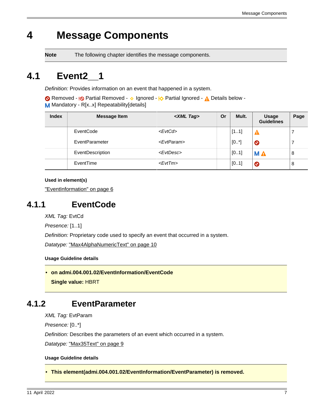# <span id="page-6-0"></span>**4 Message Components**

**Note** The following chapter identifies the message components.

## <span id="page-6-5"></span>**4.1 Event2\_\_1**

Definition: Provides information on an event that happened in a system.

Removed - <sub>!</sub>© Partial Removed - 
o Ignored - <u>I</u> $\Diamond$  Partial Ignored - 
<u>A</u> Details below -M Mandatory - R[x.x] Repeatability[details]

| <b>Index</b> | <b>Message Item</b> | <xml tag=""></xml>    | Or | Mult. | <b>Usage</b><br><b>Guidelines</b> | Page |
|--------------|---------------------|-----------------------|----|-------|-----------------------------------|------|
|              | EventCode           | <evtcd></evtcd>       |    | [11]  | Α                                 |      |
|              | EventParameter      | <evtparam></evtparam> |    | [0.1] | $\bullet$                         |      |
|              | EventDescription    | <evtdesc></evtdesc>   |    | [01]  | <b>MA</b>                         | 8    |
|              | EventTime           | $<$ Evt $Tm$ >        |    | [01]  | $\bullet$                         | 8    |

**Used in element(s)**

["EventInformation" on page 6](#page-5-1)

### <span id="page-6-3"></span>**4.1.1 EventCode**

XML Tag: EvtCd

Presence: [1..1]

Definition: Proprietary code used to specify an event that occurred in a system.

Datatype: ["Max4AlphaNumericText" on page 10](#page-9-0)

#### **Usage Guideline details**

<span id="page-6-2"></span>• **on admi.004.001.02/EventInformation/EventCode Single value:** HBRT

### <span id="page-6-4"></span>**4.1.2 EventParameter**

XML Tag: EvtParam

Presence: [0..\*]

Definition: Describes the parameters of an event which occurred in a system.

Datatype: ["Max35Text" on page 9](#page-8-1)

#### **Usage Guideline details**

<span id="page-6-1"></span>• **This element(admi.004.001.02/EventInformation/EventParameter) is removed.**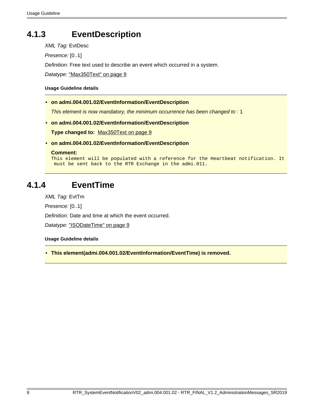### <span id="page-7-4"></span>**4.1.3 EventDescription**

XML Tag: EvtDesc

Presence: [0..1]

Definition: Free text used to describe an event which occurred in a system.

Datatype: ["Max350Text" on page 9](#page-8-2)

#### **Usage Guideline details**

<span id="page-7-1"></span>• **on admi.004.001.02/EventInformation/EventDescription**

This element is now mandatory, the minimum occurrence has been changed to : 1

<span id="page-7-3"></span>• **on admi.004.001.02/EventInformation/EventDescription**

**Type changed to:** [Max350Text on page 9](#page-8-2)

#### <span id="page-7-2"></span>• **on admi.004.001.02/EventInformation/EventDescription**

#### **Comment:**

This element will be populated with a reference for the Heartbeat notification. It must be sent back to the RTR Exchange in the admi.011.

### <span id="page-7-5"></span>**4.1.4 EventTime**

XML Tag: EvtTm

Presence: [0..1]

Definition: Date and time at which the event occurred.

Datatype: ["ISODateTime" on page 9](#page-8-3)

**Usage Guideline details**

<span id="page-7-0"></span>• **This element(admi.004.001.02/EventInformation/EventTime) is removed.**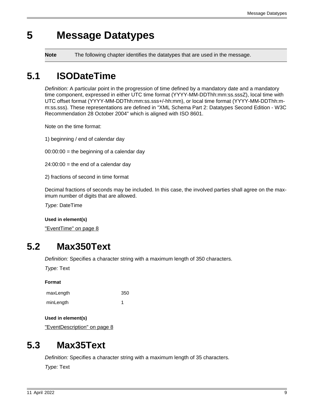# <span id="page-8-0"></span>**5 Message Datatypes**

**Note** The following chapter identifies the datatypes that are used in the message.

# <span id="page-8-3"></span>**5.1 ISODateTime**

Definition: A particular point in the progression of time defined by a mandatory date and a mandatory time component, expressed in either UTC time format (YYYY-MM-DDThh:mm:ss.sssZ), local time with UTC offset format (YYYY-MM-DDThh:mm:ss.sss+/-hh:mm), or local time format (YYYY-MM-DDThh:mm:ss.sss). These representations are defined in "XML Schema Part 2: Datatypes Second Edition - W3C Recommendation 28 October 2004" which is aligned with ISO 8601.

Note on the time format:

1) beginning / end of calendar day

 $00:00:00 =$  the beginning of a calendar day

 $24:00:00 =$  the end of a calendar day

2) fractions of second in time format

Decimal fractions of seconds may be included. In this case, the involved parties shall agree on the maximum number of digits that are allowed.

Type: DateTime

**Used in element(s)**

["EventTime" on page 8](#page-7-5)

## <span id="page-8-2"></span>**5.2 Max350Text**

Definition: Specifies a character string with a maximum length of 350 characters.

Type: Text

**Format**

| maxLength | 350 |
|-----------|-----|
| minLength |     |

**Used in element(s)**

["EventDescription" on page 8](#page-7-4)

### <span id="page-8-1"></span>**5.3 Max35Text**

Definition: Specifies a character string with a maximum length of 35 characters.

Type: Text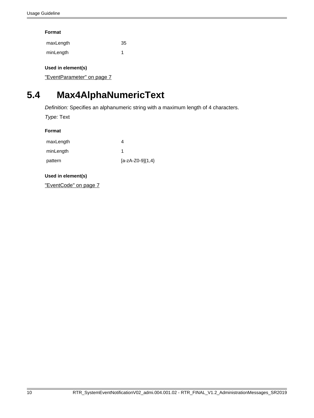#### **Format**

| maxLength | 35 |
|-----------|----|
| minLength |    |

#### **Used in element(s)**

["EventParameter" on page 7](#page-6-4)

# <span id="page-9-0"></span>**5.4 Max4AlphaNumericText**

Definition: Specifies an alphanumeric string with a maximum length of 4 characters.

Type: Text

| Format    |                      |  |  |  |
|-----------|----------------------|--|--|--|
| maxLength |                      |  |  |  |
| minLength |                      |  |  |  |
| pattern   | $[a-zA-Z0-9]\{1,4\}$ |  |  |  |

#### **Used in element(s)**

["EventCode" on page 7](#page-6-3)